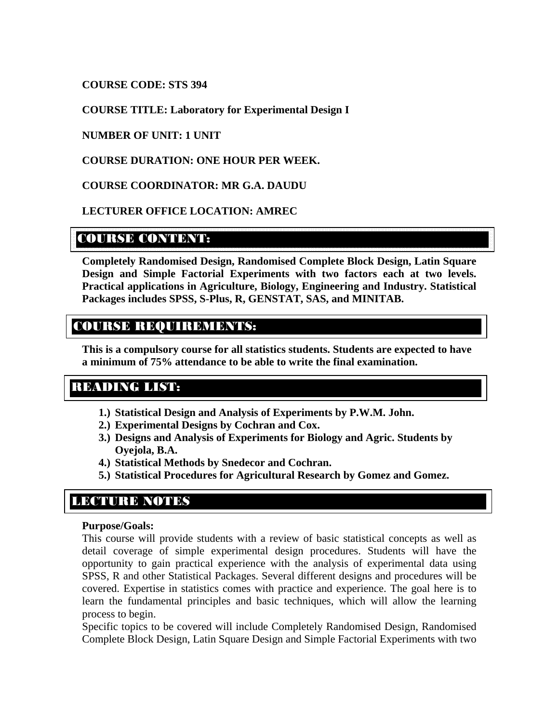### **COURSE CODE: STS 394**

### **COURSE TITLE: Laboratory for Experimental Design I**

### **NUMBER OF UNIT: 1 UNIT**

### **COURSE DURATION: ONE HOUR PER WEEK.**

### **COURSE COORDINATOR: MR G.A. DAUDU**

### **LECTURER OFFICE LOCATION: AMREC**

## COURSE CONTENT:

**Completely Randomised Design, Randomised Complete Block Design, Latin Square Design and Simple Factorial Experiments with two factors each at two levels. Practical applications in Agriculture, Biology, Engineering and Industry. Statistical Packages includes SPSS, S-Plus, R, GENSTAT, SAS, and MINITAB.** 

# COURSE REQUIREMENTS:

**This is a compulsory course for all statistics students. Students are expected to have a minimum of 75% attendance to be able to write the final examination.** 

## READING LIST:

- **1.) Statistical Design and Analysis of Experiments by P.W.M. John.**
- **2.) Experimental Designs by Cochran and Cox.**
- **3.) Designs and Analysis of Experiments for Biology and Agric. Students by Oyejola, B.A.**
- **4.) Statistical Methods by Snedecor and Cochran.**
- **5.) Statistical Procedures for Agricultural Research by Gomez and Gomez.**

# LECTURE NOTES

#### **Purpose/Goals:**

This course will provide students with a review of basic statistical concepts as well as detail coverage of simple experimental design procedures. Students will have the opportunity to gain practical experience with the analysis of experimental data using SPSS, R and other Statistical Packages. Several different designs and procedures will be covered. Expertise in statistics comes with practice and experience. The goal here is to learn the fundamental principles and basic techniques, which will allow the learning process to begin.

Specific topics to be covered will include Completely Randomised Design, Randomised Complete Block Design, Latin Square Design and Simple Factorial Experiments with two